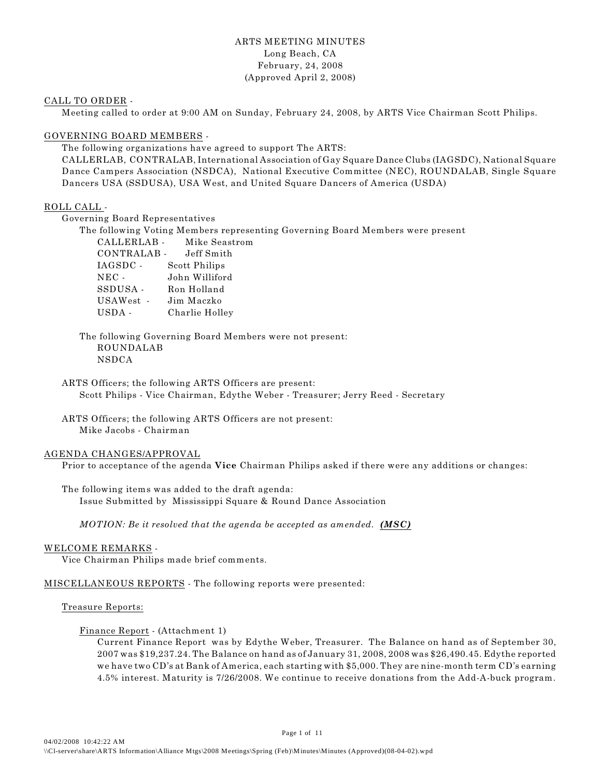# ARTS MEETING MINUTES Long Beach, CA February, 24, 2008 (Approved April 2, 2008)

## CALL TO ORDER -

Meeting called to order at 9:00 AM on Sunday, February 24, 2008, by ARTS Vice Chairman Scott Philips.

## GOVERNING BOARD MEMBERS -

The following organizations have agreed to support The ARTS:

CALLERLAB, CONTRALAB, International Association of Gay Square Dance Clubs (IAGSDC), National Square Dance Campers Association (NSDCA), National Executive Committee (NEC), ROUNDALAB, Single Square Dancers USA (SSDUSA), USA West, and United Square Dancers of America (USDA)

## ROLL CALL -

Governing Board Representatives

The following Voting Members representing Governing Board Members were present

| CALLERLAB -     | Mike Seastrom  |
|-----------------|----------------|
| CONTRALAB -     | Jeff Smith     |
| IAGSDC -        | Scott Philips  |
| $_{\rm{NEC}}$ . | John Williford |
| SSDUSA -        | Ron Holland    |
| USAWest -       | Jim Maczko     |
| USDA -          | Charlie Holley |
|                 |                |

The following Governing Board Members were not present: ROUNDALAB NSDCA

ARTS Officers; the following ARTS Officers are present: Scott Philips - Vice Chairman, Edythe Weber - Treasurer; Jerry Reed - Secretary

ARTS Officers; the following ARTS Officers are not present: Mike Jacobs - Chairman

## AGENDA CHANGES/APPROVAL

Prior to acceptance of the agenda **Vice** Chairman Philips asked if there were any additions or changes:

The following items was added to the draft agenda: Issue Submitted by Mississippi Square & Round Dance Association

*MOTION: Be it resolved that the agenda be accepted as amended. (MSC)* 

## WELCOME REMARKS -

Vice Chairman Philips made brief comments.

MISCELLANEOUS REPORTS - The following reports were presented:

## Treasure Reports:

Finance Report - (Attachment 1)

Current Finance Report was by Edythe Weber, Treasurer. The Balance on hand as of September 30, 2007 was \$19,237.24. The Balance on hand as of January 31, 2008, 2008 was \$26,490.45. Edythe reported we have two CD's at Bank of America, each starting with \$5,000. They are nine-month term CD's earning 4.5% interest. Maturity is 7/26/2008. We continue to receive donations from the Add-A-buck program.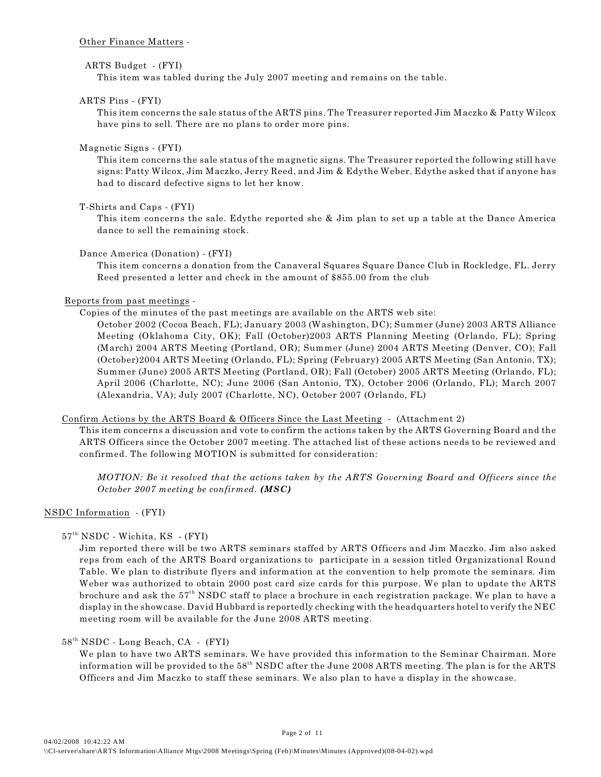## Other Finance Matters -

# ARTS Budget - (FYI)

This item was tabled during the July 2007 meeting and remains on the table.

# ARTS Pins - (FYI)

This item concerns the sale status of the ARTS pins. The Treasurer reported Jim Maczko & Patty Wilcox have pins to sell. There are no plans to order more pins.

# Magnetic Signs - (FYI)

This item concerns the sale status of the magnetic signs. The Treasurer reported the following still have signs: Patty Wilcox, Jim Maczko, Jerry Reed, and Jim & Edythe Weber. Edythe asked that if anyone has had to discard defective signs to let her know.

# T-Shirts and Caps - (FYI)

This item concerns the sale. Edythe reported she & Jim plan to set up a table at the Dance America dance to sell the remaining stock.

# Dance America (Donation) - (FYI)

This item concerns a donation from the Canaveral Squares Square Dance Club in Rockledge, FL. Jerry Reed presented a letter and check in the amount of \$855.00 from the club

# Reports from past meetings -

Copies of the minutes of the past meetings are available on the ARTS web site:

October 2002 (Cocoa Beach, FL); January 2003 (Washington, DC); Summer (June) 2003 ARTS Alliance Meeting (Oklahoma City, OK); Fall (October)2003 ARTS Planning Meeting (Orlando, FL); Spring (March) 2004 ARTS Meeting (Portland, OR); Summer (June) 2004 ARTS Meeting (Denver, CO); Fall (October)2004 ARTS Meeting (Orlando, FL); Spring (February) 2005 ARTS Meeting (San Antonio, TX); Summer (June) 2005 ARTS Meeting (Portland, OR); Fall (October) 2005 ARTS Meeting (Orlando, FL); April 2006 (Charlotte, NC); June 2006 (San Antonio, TX), October 2006 (Orlando, FL); March 2007 (Alexandria, VA); July 2007 (Charlotte, NC), October 2007 (Orlando, FL)

## Confirm Actions by the ARTS Board & Officers Since the Last Meeting - (Attachment 2)

This item concerns a discussion and vote to confirm the actions taken by the ARTS Governing Board and the ARTS Officers since the October 2007 meeting. The attached list of these actions needs to be reviewed and confirmed. The following MOTION is submitted for consideration:

*MOTION: Be it resolved that the actions taken by the ARTS Governing Board and Officers since the October 2007 meeting be confirmed. (MSC)*

# NSDC Information - (FYI)

# 57<sup>th</sup> NSDC - Wichita, KS - (FYI)

Jim reported there will be two ARTS seminars staffed by ARTS Officers and Jim Maczko. Jim also asked reps from each of the ARTS Board organizations to participate in a session titled Organizational Round Table. We plan to distribute flyers and information at the convention to help promote the seminars. Jim Weber was authorized to obtain 2000 post card size cards for this purpose. We plan to update the ARTS brochure and ask the  $57<sup>th</sup>$  NSDC staff to place a brochure in each registration package. We plan to have a display in the showcase. David Hubbard is reportedly checking with the headquarters hotel to verify the NEC meeting room will be available for the June 2008 ARTS meeting.

# $58<sup>th</sup> NSDC$  - Long Beach, CA - (FYI)

We plan to have two ARTS seminars. We have provided this information to the Seminar Chairman. More information will be provided to the  $58<sup>th</sup>$  NSDC after the June 2008 ARTS meeting. The plan is for the ARTS Officers and Jim Maczko to staff these seminars. We also plan to have a display in the showcase.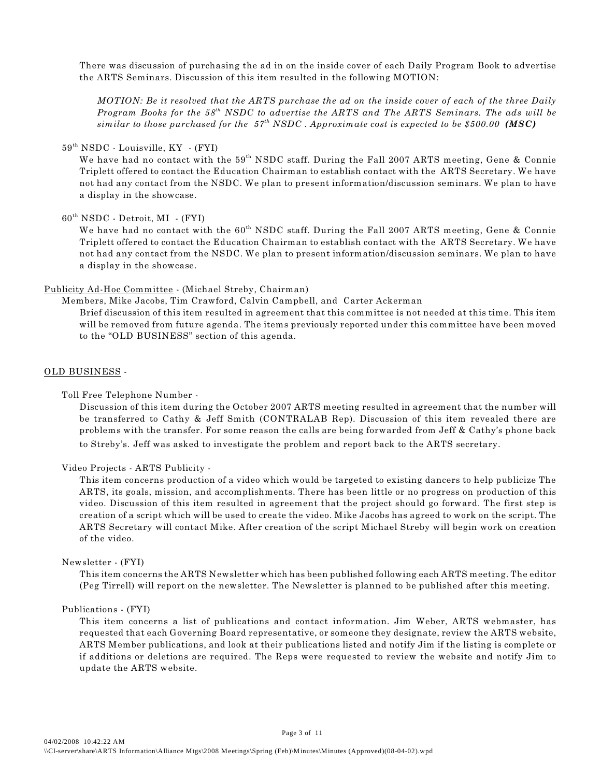There was discussion of purchasing the ad in on the inside cover of each Daily Program Book to advertise the ARTS Seminars. Discussion of this item resulted in the following MOTION:

*MOTION: Be it resolved that the ARTS purchase the ad on the inside cover of each of the three Daily Program Books for the 58<sup>th</sup> NSDC to advertise the ARTS and The ARTS Seminars. The ads will be similar to those purchased for the*  $57<sup>th</sup> NSDC$ *. Approximate cost is expected to be \$500.00 (MSC)* 

#### $59<sup>th</sup> NSDC$  - Louisville, KY - (FYI)

We have had no contact with the  $59<sup>th</sup>$  NSDC staff. During the Fall 2007 ARTS meeting, Gene & Connie Triplett offered to contact the Education Chairman to establish contact with the ARTS Secretary. We have not had any contact from the NSDC. We plan to present information/discussion seminars. We plan to have a display in the showcase.

## $60<sup>th</sup> NSDC - Detroit, MI - (FYI)$

We have had no contact with the  $60<sup>th</sup>$  NSDC staff. During the Fall 2007 ARTS meeting, Gene & Connie Triplett offered to contact the Education Chairman to establish contact with the ARTS Secretary. We have not had any contact from the NSDC. We plan to present information/discussion seminars. We plan to have a display in the showcase.

#### Publicity Ad-Hoc Committee - (Michael Streby, Chairman)

Members, Mike Jacobs, Tim Crawford, Calvin Campbell, and Carter Ackerman

Brief discussion of this item resulted in agreement that this committee is not needed at this time. This item will be removed from future agenda. The items previously reported under this committee have been moved to the "OLD BUSINESS" section of this agenda.

## OLD BUSINESS -

#### Toll Free Telephone Number -

Discussion of this item during the October 2007 ARTS meeting resulted in agreement that the number will be transferred to Cathy & Jeff Smith (CONTRALAB Rep). Discussion of this item revealed there are problems with the transfer. For some reason the calls are being forwarded from Jeff & Cathy's phone back to Streby's. Jeff was asked to investigate the problem and report back to the ARTS secretary.

#### Video Projects - ARTS Publicity -

This item concerns production of a video which would be targeted to existing dancers to help publicize The ARTS, its goals, mission, and accomplishments. There has been little or no progress on production of this video. Discussion of this item resulted in agreement that the project should go forward. The first step is creation of a script which will be used to create the video. Mike Jacobs has agreed to work on the script. The ARTS Secretary will contact Mike. After creation of the script Michael Streby will begin work on creation of the video.

#### Newsletter - (FYI)

This item concerns the ARTS Newsletter which has been published following each ARTS meeting. The editor (Peg Tirrell) will report on the newsletter. The Newsletter is planned to be published after this meeting.

## Publications - (FYI)

This item concerns a list of publications and contact information. Jim Weber, ARTS webmaster, has requested that each Governing Board representative, or someone they designate, review the ARTS website, ARTS Member publications, and look at their publications listed and notify Jim if the listing is complete or if additions or deletions are required. The Reps were requested to review the website and notify Jim to update the ARTS website.

Page 3 of 11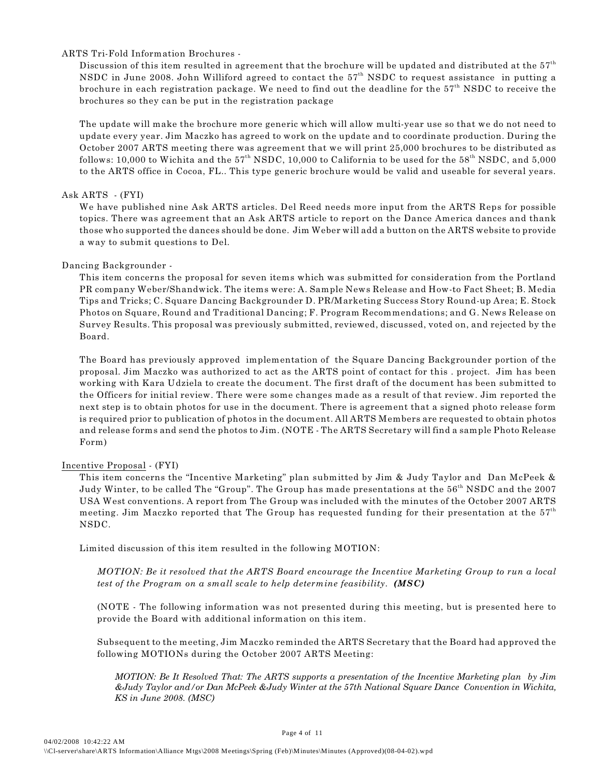## ARTS Tri-Fold Information Brochures -

Discussion of this item resulted in agreement that the brochure will be updated and distributed at the  $57<sup>th</sup>$ NSDC in June 2008. John Williford agreed to contact the  $57<sup>th</sup>$  NSDC to request assistance in putting a brochure in each registration package. We need to find out the deadline for the  $57<sup>th</sup>$  NSDC to receive the brochures so they can be put in the registration package

The update will make the brochure more generic which will allow multi-year use so that we do not need to update every year. Jim Maczko has agreed to work on the update and to coordinate production. During the October 2007 ARTS meeting there was agreement that we will print 25,000 brochures to be distributed as follows: 10,000 to Wichita and the  $57<sup>th</sup>$  NSDC, 10,000 to California to be used for the  $58<sup>th</sup>$  NSDC, and 5,000 to the ARTS office in Cocoa, FL.. This type generic brochure would be valid and useable for several years.

# Ask ARTS - (FYI)

We have published nine Ask ARTS articles. Del Reed needs more input from the ARTS Reps for possible topics. There was agreement that an Ask ARTS article to report on the Dance America dances and thank those who supported the dances should be done. Jim Weber will add a button on the ARTS website to provide a way to submit questions to Del.

# Dancing Backgrounder -

This item concerns the proposal for seven items which was submitted for consideration from the Portland PR company Weber/Shandwick. The items were: A. Sample News Release and How-to Fact Sheet; B. Media Tips and Tricks; C. Square Dancing Backgrounder D. PR/Marketing Success Story Round-up Area; E. Stock Photos on Square, Round and Traditional Dancing; F. Program Recommendations; and G. News Release on Survey Results. This proposal was previously submitted, reviewed, discussed, voted on, and rejected by the Board.

The Board has previously approved implementation of the Square Dancing Backgrounder portion of the proposal. Jim Maczko was authorized to act as the ARTS point of contact for this . project. Jim has been working with Kara Udziela to create the document. The first draft of the document has been submitted to the Officers for initial review. There were some changes made as a result of that review. Jim reported the next step is to obtain photos for use in the document. There is agreement that a signed photo release form is required prior to publication of photos in the document. All ARTS Members are requested to obtain photos and release forms and send the photos to Jim. (NOTE - The ARTS Secretary will find a sample Photo Release Form)

# Incentive Proposal - (FYI)

This item concerns the "Incentive Marketing" plan submitted by Jim & Judy Taylor and Dan McPeek & Judy Winter, to be called The "Group". The Group has made presentations at the 56<sup>th</sup> NSDC and the 2007 USA West conventions. A report from The Group was included with the minutes of the October 2007 ARTS meeting. Jim Maczko reported that The Group has requested funding for their presentation at the  $57<sup>th</sup>$ NSDC.

Limited discussion of this item resulted in the following MOTION:

*MOTION: Be it resolved that the ARTS Board encourage the Incentive Marketing Group to run a local test of the Program on a small scale to help determine feasibility. (MSC)*

(NOTE - The following information was not presented during this meeting, but is presented here to provide the Board with additional information on this item.

Subsequent to the meeting, Jim Maczko reminded the ARTS Secretary that the Board had approved the following MOTIONs during the October 2007 ARTS Meeting:

*MOTION: Be It Resolved That: The ARTS supports a presentation of the Incentive Marketing plan by Jim &Judy Taylor and/or Dan McPeek &Judy Winter at the 57th National Square Dance Convention in Wichita, KS in June 2008. (MSC)*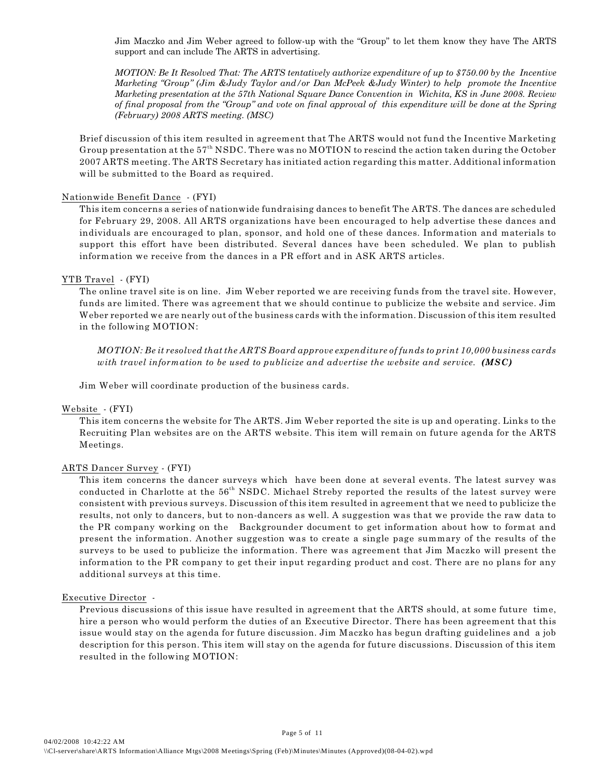Jim Maczko and Jim Weber agreed to follow-up with the "Group" to let them know they have The ARTS support and can include The ARTS in advertising.

*MOTION: Be It Resolved That: The ARTS tentatively authorize expenditure of up to \$750.00 by the Incentive Marketing "Group" (Jim &Judy Taylor and/or Dan McPeek &Judy Winter) to help promote the Incentive Marketing presentation at the 57th National Square Dance Convention in Wichita, KS in June 2008. Review of final proposal from the "Group" and vote on final approval of this expenditure will be done at the Spring (February) 2008 ARTS meeting. (MSC)*

Brief discussion of this item resulted in agreement that The ARTS would not fund the Incentive Marketing Group presentation at the  $57<sup>th</sup> NSDC$ . There was no MOTION to rescind the action taken during the October 2007 ARTS meeting. The ARTS Secretary has initiated action regarding this matter. Additional information will be submitted to the Board as required.

## Nationwide Benefit Dance - (FYI)

This item concerns a series of nationwide fundraising dances to benefit The ARTS. The dances are scheduled for February 29, 2008. All ARTS organizations have been encouraged to help advertise these dances and individuals are encouraged to plan, sponsor, and hold one of these dances. Information and materials to support this effort have been distributed. Several dances have been scheduled. We plan to publish information we receive from the dances in a PR effort and in ASK ARTS articles.

### YTB Travel - (FYI)

The online travel site is on line. Jim Weber reported we are receiving funds from the travel site. However, funds are limited. There was agreement that we should continue to publicize the website and service. Jim Weber reported we are nearly out of the business cards with the information. Discussion of this item resulted in the following MOTION:

*MOTION: Be it resolved that the ARTS Board approve expenditure of funds to print 10,000 business cards with travel information to be used to publicize and advertise the website and service. (MSC)*

Jim Weber will coordinate production of the business cards.

### Website - (FYI)

This item concerns the website for The ARTS. Jim Weber reported the site is up and operating. Links to the Recruiting Plan websites are on the ARTS website. This item will remain on future agenda for the ARTS Meetings.

## ARTS Dancer Survey - (FYI)

This item concerns the dancer surveys which have been done at several events. The latest survey was conducted in Charlotte at the 56<sup>th</sup> NSDC. Michael Streby reported the results of the latest survey were consistent with previous surveys. Discussion of this item resulted in agreement that we need to publicize the results, not only to dancers, but to non-dancers as well. A suggestion was that we provide the raw data to the PR company working on the Backgrounder document to get information about how to format and present the information. Another suggestion was to create a single page summary of the results of the surveys to be used to publicize the information. There was agreement that Jim Maczko will present the information to the PR company to get their input regarding product and cost. There are no plans for any additional surveys at this time.

#### Executive Director -

Previous discussions of this issue have resulted in agreement that the ARTS should, at some future time, hire a person who would perform the duties of an Executive Director. There has been agreement that this issue would stay on the agenda for future discussion. Jim Maczko has begun drafting guidelines and a job description for this person. This item will stay on the agenda for future discussions. Discussion of this item resulted in the following MOTION:

Page 5 of 11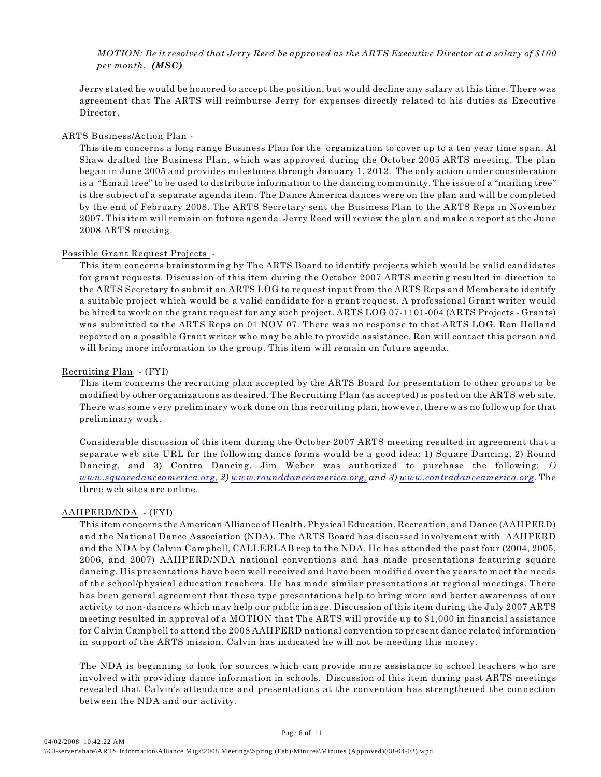# *MOTION: Be it resolved that Jerry Reed be approved as the ARTS Executive Director at a salary of \$100 per month. (MSC)*

Jerry stated he would be honored to accept the position, but would decline any salary at this time. There was agreement that The ARTS will reimburse Jerry for expenses directly related to his duties as Executive Director.

# ARTS Business/Action Plan -

This item concerns a long range Business Plan for the organization to cover up to a ten year time span. Al Shaw drafted the Business Plan, which was approved during the October 2005 ARTS meeting. The plan began in June 2005 and provides milestones through January 1, 2012. The only action under consideration is a "Email tree" to be used to distribute information to the dancing community. The issue of a "mailing tree" is the subject of a separate agenda item. The Dance America dances were on the plan and will be completed by the end of February 2008. The ARTS Secretary sent the Business Plan to the ARTS Reps in November 2007. This item will remain on future agenda. Jerry Reed will review the plan and make a report at the June 2008 ARTS meeting.

## Possible Grant Request Projects -

This item concerns brainstorming by The ARTS Board to identify projects which would be valid candidates for grant requests. Discussion of this item during the October 2007 ARTS meeting resulted in direction to the ARTS Secretary to submit an ARTS LOG to request input from the ARTS Reps and Members to identify a suitable project which would be a valid candidate for a grant request. A professional Grant writer would be hired to work on the grant request for any such project. ARTS LOG 07-1101-004 (ARTS Projects - Grants) was submitted to the ARTS Reps on 01 NOV 07. There was no response to that ARTS LOG. Ron Holland reported on a possible Grant writer who may be able to provide assistance. Ron will contact this person and will bring more information to the group. This item will remain on future agenda.

## Recruiting Plan - (FYI)

This item concerns the recruiting plan accepted by the ARTS Board for presentation to other groups to be modified by other organizations as desired. The Recruiting Plan (as accepted) is posted on the ARTS web site. There was some very preliminary work done on this recruiting plan, however, there was no followup for that preliminary work.

Considerable discussion of this item during the October 2007 ARTS meeting resulted in agreement that a separate web site URL for the following dance forms would be a good idea: 1) Square Dancing, 2) Round Dancing, and 3) Contra Dancing. Jim Weber was authorized to purchase the following: *1) [www.squaredanceamerica.org,](http://www.squaredanceamerica.org,) 2) [www.rounddanceamerica.org,](http://www.rounddanceamerica.org,) and 3) [www.contradanceamerica.org](http://www.contradanceamerica.org)*. The three web sites are online.

## AAHPERD/NDA - (FYI)

This item concerns the American Alliance of Health, Physical Education, Recreation, and Dance (AAHPERD) and the National Dance Association (NDA). The ARTS Board has discussed involvement with AAHPERD and the NDA by Calvin Campbell, CALLERLAB rep to the NDA. He has attended the past four (2004, 2005, 2006, and 2007) AAHPERD/NDA national conventions and has made presentations featuring square dancing. His presentations have been well received and have been modified over the years to meet the needs of the school/physical education teachers. He has made similar presentations at regional meetings. There has been general agreement that these type presentations help to bring more and better awareness of our activity to non-dancers which may help our public image. Discussion of this item during the July 2007 ARTS meeting resulted in approval of a MOTION that The ARTS will provide up to \$1,000 in financial assistance for Calvin Campbell to attend the 2008 AAHPERD national convention to present dance related information in support of the ARTS mission. Calvin has indicated he will not be needing this money.

The NDA is beginning to look for sources which can provide more assistance to school teachers who are involved with providing dance information in schools. Discussion of this item during past ARTS meetings revealed that Calvin's attendance and presentations at the convention has strengthened the connection between the NDA and our activity.

Page 6 of 11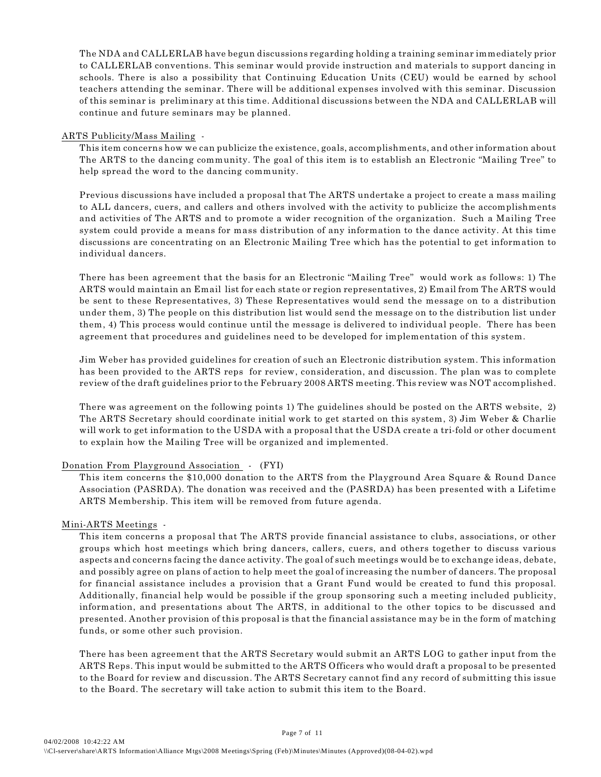The NDA and CALLERLAB have begun discussions regarding holding a training seminar immediately prior to CALLERLAB conventions. This seminar would provide instruction and materials to support dancing in schools. There is also a possibility that Continuing Education Units (CEU) would be earned by school teachers attending the seminar. There will be additional expenses involved with this seminar. Discussion of this seminar is preliminary at this time. Additional discussions between the NDA and CALLERLAB will continue and future seminars may be planned.

## ARTS Publicity/Mass Mailing -

This item concerns how we can publicize the existence, goals, accomplishments, and other information about The ARTS to the dancing community. The goal of this item is to establish an Electronic "Mailing Tree" to help spread the word to the dancing community.

Previous discussions have included a proposal that The ARTS undertake a project to create a mass mailing to ALL dancers, cuers, and callers and others involved with the activity to publicize the accomplishments and activities of The ARTS and to promote a wider recognition of the organization. Such a Mailing Tree system could provide a means for mass distribution of any information to the dance activity. At this time discussions are concentrating on an Electronic Mailing Tree which has the potential to get information to individual dancers.

There has been agreement that the basis for an Electronic "Mailing Tree" would work as follows: 1) The ARTS would maintain an Email list for each state or region representatives, 2) Email from The ARTS would be sent to these Representatives, 3) These Representatives would send the message on to a distribution under them, 3) The people on this distribution list would send the message on to the distribution list under them, 4) This process would continue until the message is delivered to individual people. There has been agreement that procedures and guidelines need to be developed for implementation of this system.

Jim Weber has provided guidelines for creation of such an Electronic distribution system. This information has been provided to the ARTS reps for review, consideration, and discussion. The plan was to complete review of the draft guidelines prior to the February 2008 ARTS meeting. This review was NOT accomplished.

There was agreement on the following points 1) The guidelines should be posted on the ARTS website, 2) The ARTS Secretary should coordinate initial work to get started on this system, 3) Jim Weber & Charlie will work to get information to the USDA with a proposal that the USDA create a tri-fold or other document to explain how the Mailing Tree will be organized and implemented.

# Donation From Playground Association - (FYI)

This item concerns the \$10,000 donation to the ARTS from the Playground Area Square & Round Dance Association (PASRDA). The donation was received and the (PASRDA) has been presented with a Lifetime ARTS Membership. This item will be removed from future agenda.

# Mini-ARTS Meetings -

This item concerns a proposal that The ARTS provide financial assistance to clubs, associations, or other groups which host meetings which bring dancers, callers, cuers, and others together to discuss various aspects and concerns facing the dance activity. The goal of such meetings would be to exchange ideas, debate, and possibly agree on plans of action to help meet the goal of increasing the number of dancers. The proposal for financial assistance includes a provision that a Grant Fund would be created to fund this proposal. Additionally, financial help would be possible if the group sponsoring such a meeting included publicity, information, and presentations about The ARTS, in additional to the other topics to be discussed and presented. Another provision of this proposal is that the financial assistance may be in the form of matching funds, or some other such provision.

There has been agreement that the ARTS Secretary would submit an ARTS LOG to gather input from the ARTS Reps. This input would be submitted to the ARTS Officers who would draft a proposal to be presented to the Board for review and discussion. The ARTS Secretary cannot find any record of submitting this issue to the Board. The secretary will take action to submit this item to the Board.

Page 7 of 11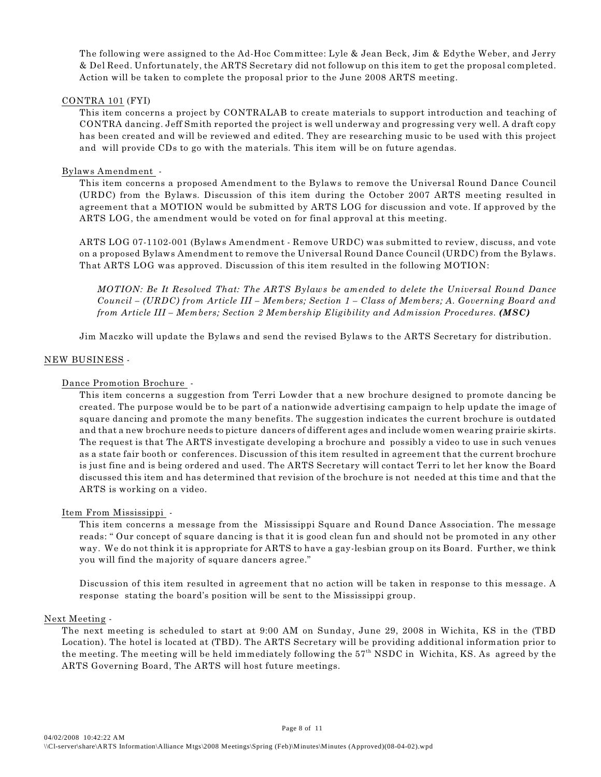The following were assigned to the Ad-Hoc Committee: Lyle & Jean Beck, Jim & Edythe Weber, and Jerry & Del Reed. Unfortunately, the ARTS Secretary did not followup on this item to get the proposal completed. Action will be taken to complete the proposal prior to the June 2008 ARTS meeting.

## CONTRA 101 (FYI)

This item concerns a project by CONTRALAB to create materials to support introduction and teaching of CONTRA dancing. Jeff Smith reported the project is well underway and progressing very well. A draft copy has been created and will be reviewed and edited. They are researching music to be used with this project and will provide CDs to go with the materials. This item will be on future agendas.

## Bylaws Amendment -

This item concerns a proposed Amendment to the Bylaws to remove the Universal Round Dance Council (URDC) from the Bylaws. Discussion of this item during the October 2007 ARTS meeting resulted in agreement that a MOTION would be submitted by ARTS LOG for discussion and vote. If approved by the ARTS LOG, the amendment would be voted on for final approval at this meeting.

ARTS LOG 07-1102-001 (Bylaws Amendment - Remove URDC) was submitted to review, discuss, and vote on a proposed Bylaws Amendment to remove the Universal Round Dance Council (URDC) from the Bylaws. That ARTS LOG was approved. Discussion of this item resulted in the following MOTION:

*MOTION: Be It Resolved That: The ARTS Bylaws be amended to delete the Universal Round Dance Council – (URDC) from Article III – Members; Section 1 – Class of Members; A. Governing Board and from Article III – Members; Section 2 Membership Eligibility and Admission Procedures. (MSC)*

Jim Maczko will update the Bylaws and send the revised Bylaws to the ARTS Secretary for distribution.

## NEW BUSINESS -

# Dance Promotion Brochure -

This item concerns a suggestion from Terri Lowder that a new brochure designed to promote dancing be created. The purpose would be to be part of a nationwide advertising campaign to help update the image of square dancing and promote the many benefits. The suggestion indicates the current brochure is outdated and that a new brochure needs to picture dancers of different ages and include women wearing prairie skirts. The request is that The ARTS investigate developing a brochure and possibly a video to use in such venues as a state fair booth or conferences. Discussion of this item resulted in agreement that the current brochure is just fine and is being ordered and used. The ARTS Secretary will contact Terri to let her know the Board discussed this item and has determined that revision of the brochure is not needed at this time and that the ARTS is working on a video.

## Item From Mississippi -

This item concerns a message from the Mississippi Square and Round Dance Association. The message reads: " Our concept of square dancing is that it is good clean fun and should not be promoted in any other way. We do not think it is appropriate for ARTS to have a gay-lesbian group on its Board. Further, we think you will find the majority of square dancers agree."

Discussion of this item resulted in agreement that no action will be taken in response to this message. A response stating the board's position will be sent to the Mississippi group.

## Next Meeting -

The next meeting is scheduled to start at 9:00 AM on Sunday, June 29, 2008 in Wichita, KS in the (TBD Location). The hotel is located at (TBD). The ARTS Secretary will be providing additional information prior to the meeting. The meeting will be held immediately following the  $57<sup>th</sup>$  NSDC in Wichita, KS. As agreed by the ARTS Governing Board, The ARTS will host future meetings.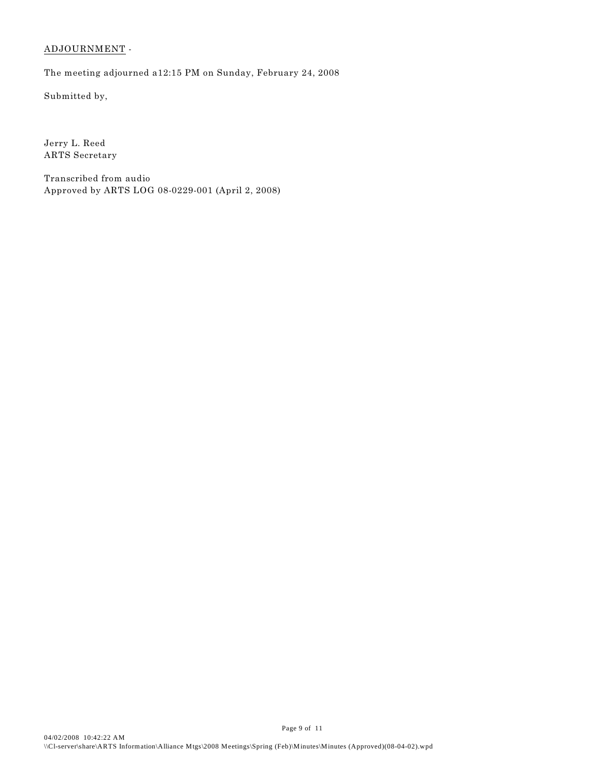# ADJOURNMENT -

The meeting adjourned a12:15 PM on Sunday, February 24, 2008

Submitted by,

Jerry L. Reed ARTS Secretary

Transcribed from audio Approved by ARTS LOG 08-0229-001 (April 2, 2008)

Page 9 of 11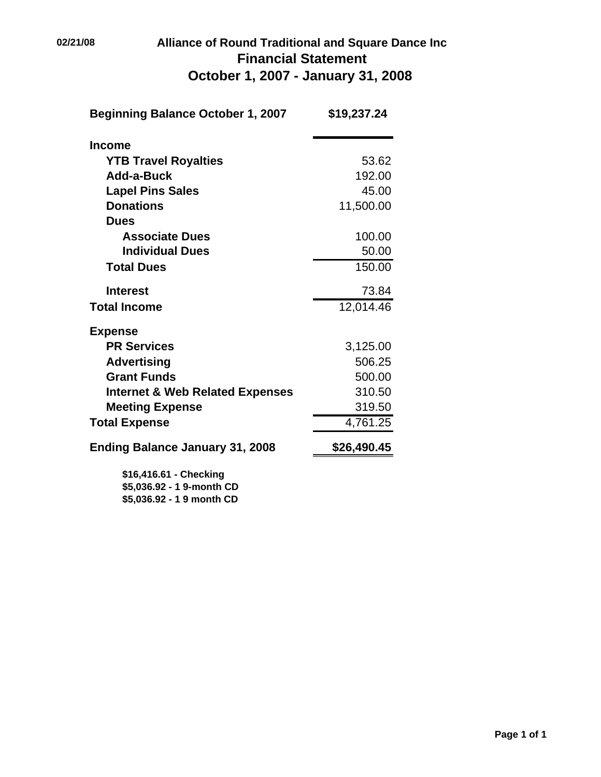# **02/21/08 Alliance of Round Traditional and Square Dance Inc Financial Statement October 1, 2007 - January 31, 2008**

| <b>Beginning Balance October 1, 2007</b>            | \$19,237.24 |  |
|-----------------------------------------------------|-------------|--|
| <b>Income</b>                                       |             |  |
| <b>YTB Travel Royalties</b>                         | 53.62       |  |
| Add-a-Buck                                          | 192.00      |  |
| <b>Lapel Pins Sales</b>                             | 45.00       |  |
| <b>Donations</b>                                    | 11,500.00   |  |
| <b>Dues</b>                                         |             |  |
| <b>Associate Dues</b>                               | 100.00      |  |
| <b>Individual Dues</b>                              | 50.00       |  |
| <b>Total Dues</b>                                   | 150.00      |  |
| <b>Interest</b>                                     | 73.84       |  |
| <b>Total Income</b>                                 | 12,014.46   |  |
| <b>Expense</b>                                      |             |  |
| <b>PR Services</b>                                  | 3,125.00    |  |
| <b>Advertising</b>                                  | 506.25      |  |
| <b>Grant Funds</b>                                  | 500.00      |  |
| <b>Internet &amp; Web Related Expenses</b>          | 310.50      |  |
| <b>Meeting Expense</b>                              | 319.50      |  |
| <b>Total Expense</b>                                | 4,761.25    |  |
| <b>Ending Balance January 31, 2008</b>              | \$26,490.45 |  |
| \$16,416.61 - Checking<br>\$5,036.92 - 1 9-month CD |             |  |

**\$5,036.92 - 1 9 month CD**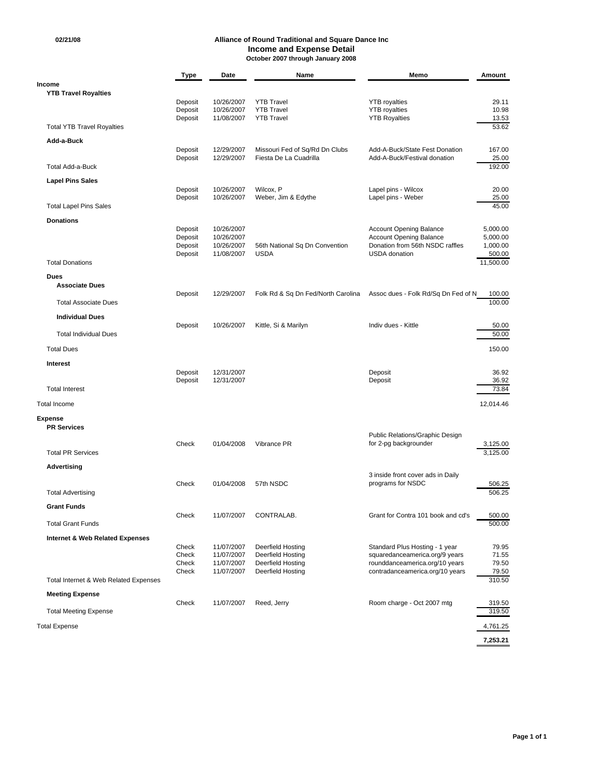#### **02/21/08 Alliance of Round Traditional and Square Dance Inc Income and Expense Detail October 2007 through January 2008**

|                                            | <b>Type</b>        | Date                     | Name                                   | Memo                                                             | Amount              |
|--------------------------------------------|--------------------|--------------------------|----------------------------------------|------------------------------------------------------------------|---------------------|
| <b>Income</b>                              |                    |                          |                                        |                                                                  |                     |
| <b>YTB Travel Royalties</b>                |                    |                          |                                        |                                                                  |                     |
|                                            | Deposit<br>Deposit | 10/26/2007<br>10/26/2007 | <b>YTB Travel</b><br><b>YTB Travel</b> | <b>YTB</b> royalties<br><b>YTB</b> royalties                     | 29.11<br>10.98      |
|                                            | Deposit            | 11/08/2007               | <b>YTB Travel</b>                      | <b>YTB Royalties</b>                                             | 13.53               |
| <b>Total YTB Travel Royalties</b>          |                    |                          |                                        |                                                                  | 53.62               |
| Add-a-Buck                                 |                    |                          |                                        |                                                                  |                     |
|                                            | Deposit            | 12/29/2007               | Missouri Fed of Sq/Rd Dn Clubs         | Add-A-Buck/State Fest Donation                                   | 167.00              |
| <b>Total Add-a-Buck</b>                    | Deposit            | 12/29/2007               | Fiesta De La Cuadrilla                 | Add-A-Buck/Festival donation                                     | 25.00<br>192.00     |
|                                            |                    |                          |                                        |                                                                  |                     |
| <b>Lapel Pins Sales</b>                    |                    |                          |                                        |                                                                  |                     |
|                                            | Deposit<br>Deposit | 10/26/2007<br>10/26/2007 | Wilcox, P<br>Weber, Jim & Edythe       | Lapel pins - Wilcox<br>Lapel pins - Weber                        | 20.00<br>25.00      |
| <b>Total Lapel Pins Sales</b>              |                    |                          |                                        |                                                                  | 45.00               |
| <b>Donations</b>                           |                    |                          |                                        |                                                                  |                     |
|                                            | Deposit            | 10/26/2007               |                                        | <b>Account Opening Balance</b>                                   | 5,000.00            |
|                                            | Deposit            | 10/26/2007               |                                        | <b>Account Opening Balance</b>                                   | 5,000.00            |
|                                            | Deposit            | 10/26/2007               | 56th National Sq Dn Convention         | Donation from 56th NSDC raffles                                  | 1,000.00            |
| <b>Total Donations</b>                     | Deposit            | 11/08/2007               | <b>USDA</b>                            | USDA donation                                                    | 500.00<br>11,500.00 |
|                                            |                    |                          |                                        |                                                                  |                     |
| Dues<br><b>Associate Dues</b>              |                    |                          |                                        |                                                                  |                     |
|                                            | Deposit            | 12/29/2007               | Folk Rd & Sq Dn Fed/North Carolina     | Assoc dues - Folk Rd/Sq Dn Fed of N                              | 100.00              |
| <b>Total Associate Dues</b>                |                    |                          |                                        |                                                                  | 100.00              |
| <b>Individual Dues</b>                     |                    |                          |                                        |                                                                  |                     |
|                                            | Deposit            | 10/26/2007               | Kittle, Si & Marilyn                   | Indiv dues - Kittle                                              | 50.00               |
| <b>Total Individual Dues</b>               |                    |                          |                                        |                                                                  | 50.00               |
| <b>Total Dues</b>                          |                    |                          |                                        |                                                                  | 150.00              |
|                                            |                    |                          |                                        |                                                                  |                     |
| Interest                                   | Deposit            | 12/31/2007               |                                        | Deposit                                                          | 36.92               |
|                                            | Deposit            | 12/31/2007               |                                        | Deposit                                                          | 36.92               |
| <b>Total Interest</b>                      |                    |                          |                                        |                                                                  | 73.84               |
| <b>Total Income</b>                        |                    |                          |                                        |                                                                  | 12,014.46           |
|                                            |                    |                          |                                        |                                                                  |                     |
| <b>Expense</b><br><b>PR Services</b>       |                    |                          |                                        |                                                                  |                     |
|                                            |                    |                          |                                        | Public Relations/Graphic Design                                  |                     |
|                                            | Check              | 01/04/2008               | Vibrance PR                            | for 2-pg backgrounder                                            | 3,125.00            |
| <b>Total PR Services</b>                   |                    |                          |                                        |                                                                  | 3,125.00            |
| Advertising                                |                    |                          |                                        |                                                                  |                     |
|                                            |                    |                          |                                        | 3 inside front cover ads in Daily                                |                     |
| <b>Total Advertising</b>                   | Check              | 01/04/2008               | 57th NSDC                              | programs for NSDC                                                | 506.25<br>506.25    |
|                                            |                    |                          |                                        |                                                                  |                     |
| <b>Grant Funds</b>                         |                    |                          |                                        |                                                                  |                     |
| <b>Total Grant Funds</b>                   | Check              | 11/07/2007               | CONTRALAB.                             | Grant for Contra 101 book and cd's                               | 500.00<br>500.00    |
|                                            |                    |                          |                                        |                                                                  |                     |
| <b>Internet &amp; Web Related Expenses</b> |                    | 11/07/2007               |                                        |                                                                  | 79.95               |
|                                            | Check<br>Check     | 11/07/2007               | Deerfield Hosting<br>Deerfield Hosting | Standard Plus Hosting - 1 year<br>squaredanceamerica.org/9 years | 71.55               |
|                                            | Check              | 11/07/2007               | Deerfield Hosting                      | rounddanceamerica.org/10 years                                   | 79.50               |
|                                            | Check              | 11/07/2007               | Deerfield Hosting                      | contradanceamerica.org/10 years                                  | 79.50               |
| Total Internet & Web Related Expenses      |                    |                          |                                        |                                                                  | 310.50              |
| <b>Meeting Expense</b>                     |                    |                          |                                        |                                                                  |                     |
| <b>Total Meeting Expense</b>               | Check              | 11/07/2007               | Reed, Jerry                            | Room charge - Oct 2007 mtg                                       | 319.50<br>319.50    |
|                                            |                    |                          |                                        |                                                                  |                     |
| <b>Total Expense</b>                       |                    |                          |                                        |                                                                  | 4,761.25            |
|                                            |                    |                          |                                        |                                                                  | 7,253.21            |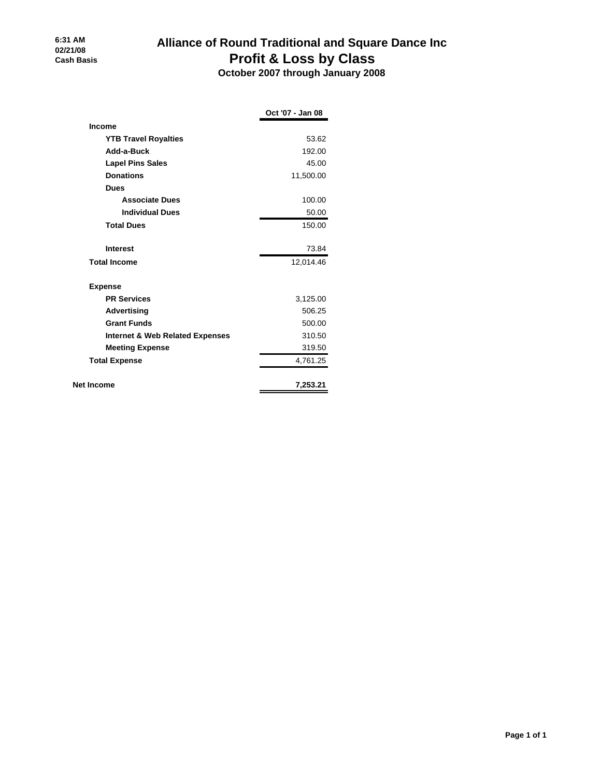# **Alliance of Round Traditional and Square Dance Inc Profit & Loss by Class**

 **October 2007 through January 2008**

|                                            | Oct '07 - Jan 08 |
|--------------------------------------------|------------------|
| <b>Income</b>                              |                  |
| <b>YTB Travel Royalties</b>                | 53.62            |
| Add-a-Buck                                 | 192.00           |
| <b>Lapel Pins Sales</b>                    | 45.00            |
| <b>Donations</b>                           | 11,500.00        |
| <b>Dues</b>                                |                  |
| <b>Associate Dues</b>                      | 100.00           |
| <b>Individual Dues</b>                     | 50.00            |
| <b>Total Dues</b>                          | 150.00           |
| <b>Interest</b>                            | 73.84            |
| <b>Total Income</b>                        | 12,014.46        |
| <b>Expense</b>                             |                  |
| <b>PR Services</b>                         | 3,125.00         |
| Advertising                                | 506.25           |
| <b>Grant Funds</b>                         | 500.00           |
| <b>Internet &amp; Web Related Expenses</b> | 310.50           |
| <b>Meeting Expense</b>                     | 319.50           |
| <b>Total Expense</b>                       | 4,761.25         |
| Net Income                                 | 7,253.21         |